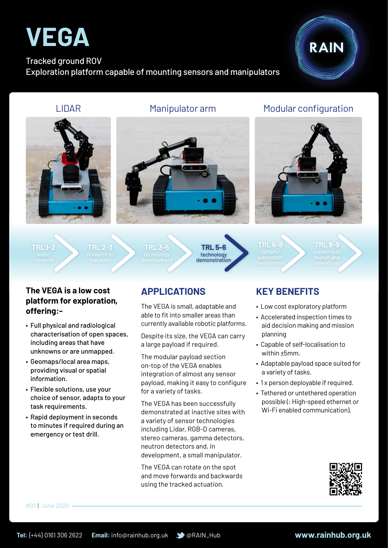

#### Tracked ground ROV Exploration platform capable of mounting sensors and manipulators



### LIDAR Manipulator arm Modular configuration







**TRL 1-2**



**TRL 3-5**



**TRL 6-8**

**TRL 8-9**

#### **The VEGA is a low cost platform for exploration, offering:-**

- Full physical and radiological characterisation of open spaces, including areas that have unknowns or are unmapped.
- • Geomaps/local area maps, providing visual or spatial information.
- Flexible solutions, use your choice of sensor, adapts to your task requirements.
- Rapid deployment in seconds to minutes if required during an emergency or test drill.

## **APPLICATIONS**

The VEGA is small, adaptable and able to fit into smaller areas than currently available robotic platforms.

Despite its size, the VEGA can carry a large payload if required.

The modular payload section on-top of the VEGA enables integration of almost any sensor payload, making it easy to configure for a variety of tasks.

The VEGA has been successfully demonstrated at inactive sites with a variety of sensor technologies including Lidar, RGB-D cameras, stereo cameras, gamma detectors, neutron detectors and, in development, a small manipulator.

The VEGA can rotate on the spot and move forwards and backwards using the tracked actuation.

## **KEY BENEFITS**

- Low cost exploratory platform
- Accelerated inspection times to aid decision making and mission planning
- Capable of self-localisation to within ±5mm.
- Adaptable payload space suited for a variety of tasks.
- 1 x person deployable if required.
- Tethered or untethered operation possible (: High-speed ethernet or Wi-Fi enabled communication).



#01 | June 2020